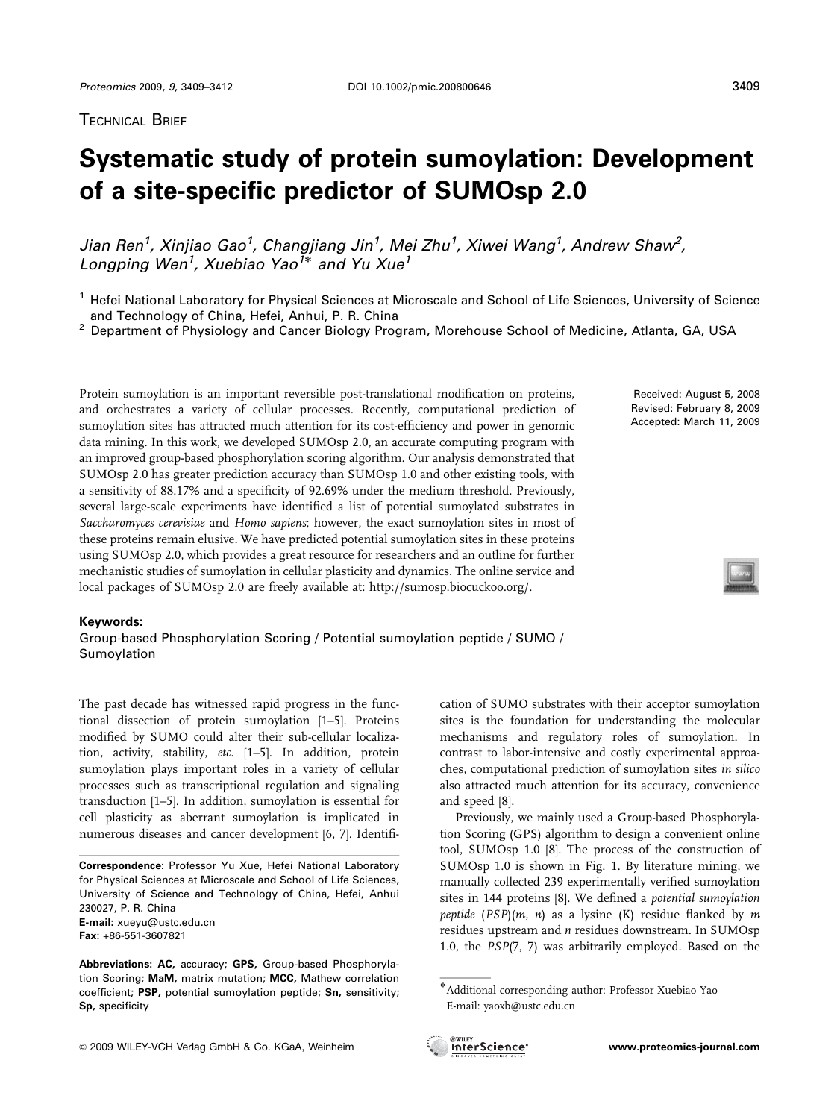## **Systematic study of protein sumoylation: Development of a site-specific predictor of SUMOsp 2.0**

*Jian Ren1 , Xinjiao Gao1 , Changjiang Jin<sup>1</sup> , Mei Zhu1 , Xiwei Wang1 , Andrew Shaw2 , Longping Wen1 , Xuebiao Yao1*- *and Yu Xue1*

<sup>2</sup> Department of Physiology and Cancer Biology Program, Morehouse School of Medicine, Atlanta, GA, USA

Protein sumoylation is an important reversible post-translational modification on proteins, and orchestrates a variety of cellular processes. Recently, computational prediction of sumoylation sites has attracted much attention for its cost-efficiency and power in genomic data mining. In this work, we developed SUMOsp 2.0, an accurate computing program with an improved group-based phosphorylation scoring algorithm. Our analysis demonstrated that SUMOsp 2.0 has greater prediction accuracy than SUMOsp 1.0 and other existing tools, with a sensitivity of 88.17% and a specificity of 92.69% under the medium threshold. Previously, several large-scale experiments have identified a list of potential sumoylated substrates in Saccharomyces cerevisiae and Homo sapiens; however, the exact sumoylation sites in most of these proteins remain elusive. We have predicted potential sumoylation sites in these proteins using SUMOsp 2.0, which provides a great resource for researchers and an outline for further mechanistic studies of sumoylation in cellular plasticity and dynamics. The online service and local packages of SUMOsp 2.0 are freely available at: http://sumosp.biocuckoo.org/.

## **Keywords:**

Group-based Phosphorylation Scoring / Potential sumoylation peptide / SUMO / Sumoylation

The past decade has witnessed rapid progress in the functional dissection of protein sumoylation [1–5]. Proteins modified by SUMO could alter their sub-cellular localization, activity, stability, etc. [1–5]. In addition, protein sumoylation plays important roles in a variety of cellular processes such as transcriptional regulation and signaling transduction [1–5]. In addition, sumoylation is essential for cell plasticity as aberrant sumoylation is implicated in numerous diseases and cancer development [6, 7]. Identifi-

**Correspondence:** Professor Yu Xue, Hefei National Laboratory for Physical Sciences at Microscale and School of Life Sciences, University of Science and Technology of China, Hefei, Anhui 230027, P. R. China **E-mail:** xueyu@ustc.edu.cn **Fax**: +86-551-3607821

**Abbreviations: AC,** accuracy; **GPS,** Group-based Phosphorylation Scoring; **MaM,** matrix mutation; **MCC,** Mathew correlation coefficient; **PSP,** potential sumoylation peptide; **Sn,** sensitivity; **Sp,** specificity

Received: August 5, 2008 Revised: February 8, 2009 Accepted: March 11, 2009

cation of SUMO substrates with their acceptor sumoylation sites is the foundation for understanding the molecular mechanisms and regulatory roles of sumoylation. In contrast to labor-intensive and costly experimental approaches, computational prediction of sumoylation sites in silico also attracted much attention for its accuracy, convenience and speed [8].

Previously, we mainly used a Group-based Phosphorylation Scoring (GPS) algorithm to design a convenient online tool, SUMOsp 1.0 [8]. The process of the construction of SUMOsp 1.0 is shown in Fig. 1. By literature mining, we manually collected 239 experimentally verified sumoylation sites in 144 proteins [8]. We defined a potential sumoylation peptide  $(PSP)(m, n)$  as a lysine (K) residue flanked by m residues upstream and n residues downstream. In SUMOsp 1.0, the PSP(7, 7) was arbitrarily employed. Based on the



<sup>&</sup>lt;sup>1</sup> Hefei National Laboratory for Physical Sciences at Microscale and School of Life Sciences, University of Science<br>and Technology of China, Hefei, Anhui, P. R. China

<sup>-</sup>Additional corresponding author: Professor Xuebiao Yao E-mail: yaoxb@ustc.edu.cn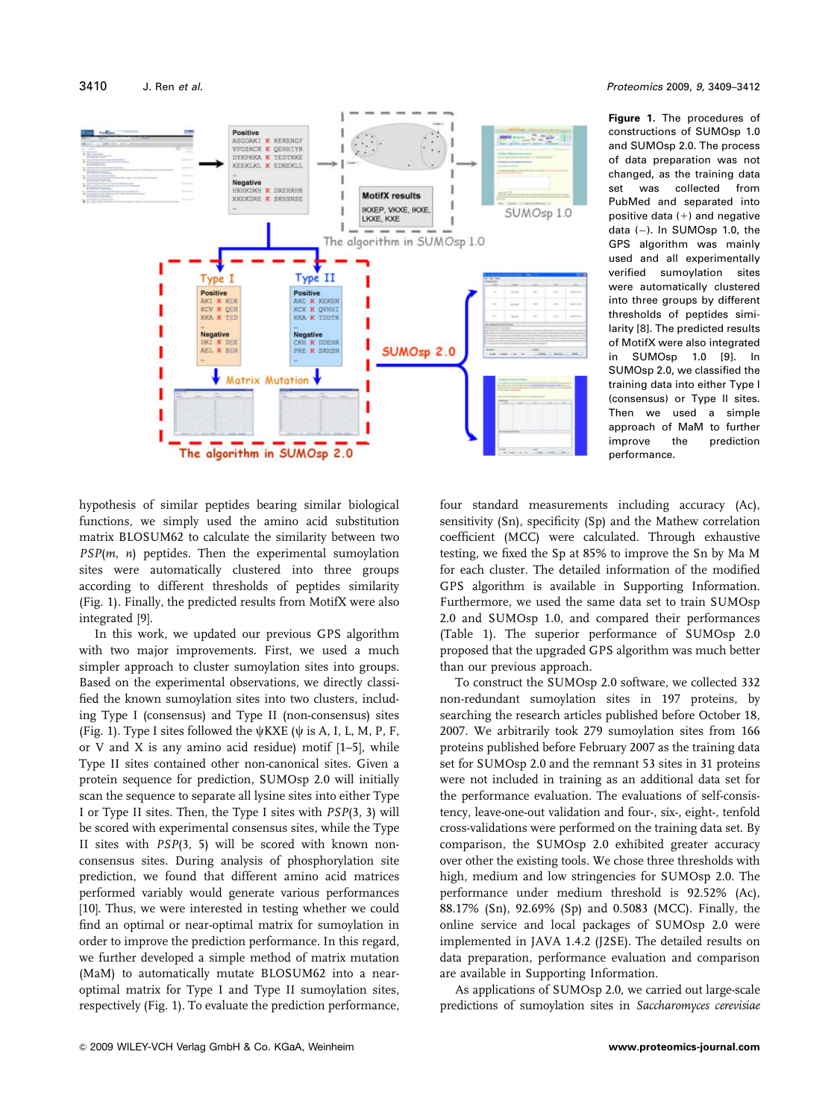

3410 J. Ren *et al. Proteomics* 2009, *9*, 3409–3412

**Figure 1.** The procedures of constructions of SUMOsp 1.0 and SUMOsp 2.0. The process of data preparation was not changed, as the training data set was collected from PubMed and separated into positive data  $(+)$  and negative data  $(-)$ . In SUMOsp 1.0, the GPS algorithm was mainly used and all experimentally verified sumoylation sites were automatically clustered into three groups by different thresholds of peptides similarity [8]. The predicted results of MotifX were also integrated in SUMOsp 1.0 [9]. In SUMOsp 2.0, we classified the training data into either Type I (consensus) or Type II sites. Then we used a simple approach of MaM to further improve the prediction performance.

hypothesis of similar peptides bearing similar biological functions, we simply used the amino acid substitution matrix BLOSUM62 to calculate the similarity between two  $PSP(m, n)$  peptides. Then the experimental sumoylation sites were automatically clustered into three groups according to different thresholds of peptides similarity (Fig. 1). Finally, the predicted results from MotifX were also integrated [9].

In this work, we updated our previous GPS algorithm with two major improvements. First, we used a much simpler approach to cluster sumoylation sites into groups. Based on the experimental observations, we directly classified the known sumoylation sites into two clusters, including Type I (consensus) and Type II (non-consensus) sites (Fig. 1). Type I sites followed the  $\psi$ KXE ( $\psi$  is A, I, L, M, P, F, or V and X is any amino acid residue) motif [1–5], while Type II sites contained other non-canonical sites. Given a protein sequence for prediction, SUMOsp 2.0 will initially scan the sequence to separate all lysine sites into either Type I or Type II sites. Then, the Type I sites with PSP(3, 3) will be scored with experimental consensus sites, while the Type II sites with PSP(3, 5) will be scored with known nonconsensus sites. During analysis of phosphorylation site prediction, we found that different amino acid matrices performed variably would generate various performances [10]. Thus, we were interested in testing whether we could find an optimal or near-optimal matrix for sumoylation in order to improve the prediction performance. In this regard, we further developed a simple method of matrix mutation (MaM) to automatically mutate BLOSUM62 into a nearoptimal matrix for Type I and Type II sumoylation sites, respectively (Fig. 1). To evaluate the prediction performance, four standard measurements including accuracy (Ac), sensitivity (Sn), specificity (Sp) and the Mathew correlation coefficient (MCC) were calculated. Through exhaustive testing, we fixed the Sp at 85% to improve the Sn by Ma M for each cluster. The detailed information of the modified GPS algorithm is available in Supporting Information. Furthermore, we used the same data set to train SUMOsp 2.0 and SUMOsp 1.0, and compared their performances (Table 1). The superior performance of SUMOsp 2.0 proposed that the upgraded GPS algorithm was much better than our previous approach.

To construct the SUMOsp 2.0 software, we collected 332 non-redundant sumoylation sites in 197 proteins, by searching the research articles published before October 18, 2007. We arbitrarily took 279 sumoylation sites from 166 proteins published before February 2007 as the training data set for SUMOsp 2.0 and the remnant 53 sites in 31 proteins were not included in training as an additional data set for the performance evaluation. The evaluations of self-consistency, leave-one-out validation and four-, six-, eight-, tenfold cross-validations were performed on the training data set. By comparison, the SUMOsp 2.0 exhibited greater accuracy over other the existing tools. We chose three thresholds with high, medium and low stringencies for SUMOsp 2.0. The performance under medium threshold is 92.52% (Ac), 88.17% (Sn), 92.69% (Sp) and 0.5083 (MCC). Finally, the online service and local packages of SUMOsp 2.0 were implemented in JAVA 1.4.2 (J2SE). The detailed results on data preparation, performance evaluation and comparison are available in Supporting Information.

As applications of SUMOsp 2.0, we carried out large-scale predictions of sumoylation sites in Saccharomyces cerevisiae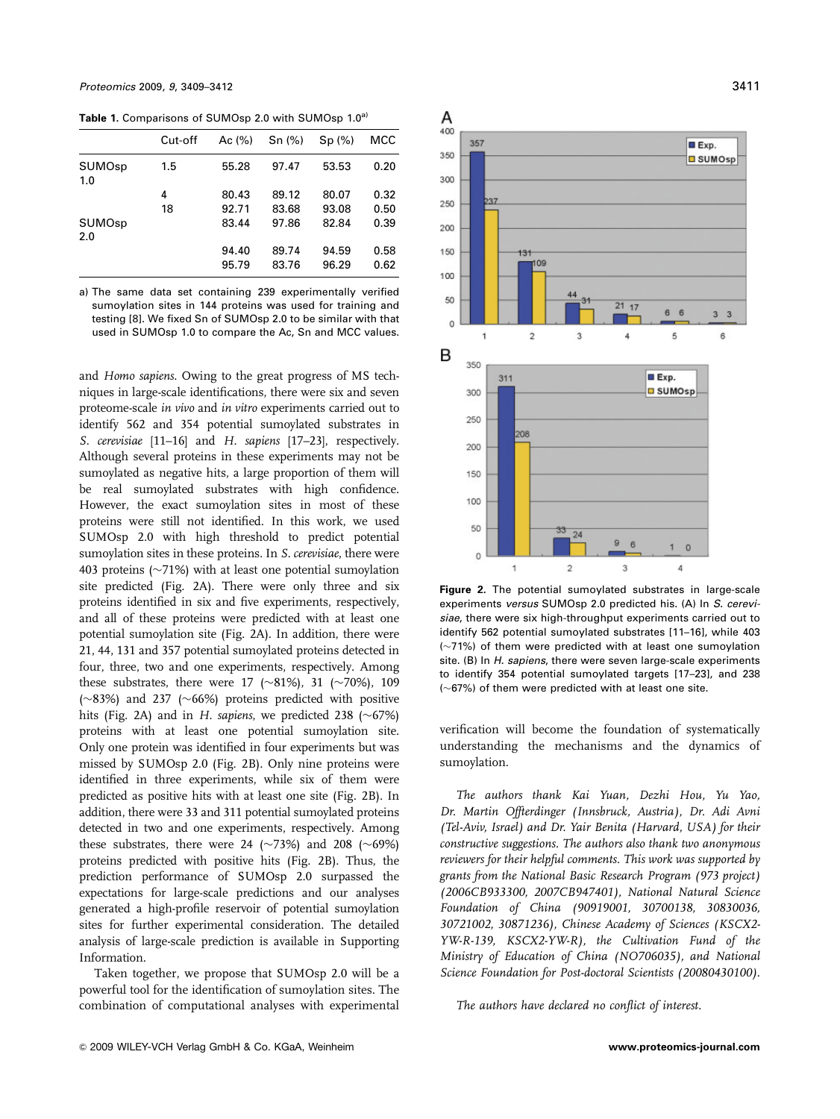Table 1. Comparisons of SUMOsp 2.0 with SUMOsp 1.0<sup>a)</sup>

|               | Cut-off | Ac $(%)$ | Sn(%) | Sp(%) | MCC  |
|---------------|---------|----------|-------|-------|------|
| SUMOsp<br>1.0 | 1.5     | 55.28    | 97.47 | 53.53 | 0.20 |
|               | 4       | 80.43    | 89.12 | 80.07 | 0.32 |
|               | 18      | 92.71    | 83.68 | 93.08 | 0.50 |
| SUMOsp<br>2.0 |         | 83.44    | 97.86 | 82.84 | 0.39 |
|               |         | 94.40    | 89.74 | 94.59 | 0.58 |
|               |         | 95.79    | 83.76 | 96.29 | 0.62 |

a) The same data set containing 239 experimentally verified sumoylation sites in 144 proteins was used for training and testing [8]. We fixed Sn of SUMOsp 2.0 to be similar with that used in SUMOsp 1.0 to compare the Ac, Sn and MCC values.

and Homo sapiens. Owing to the great progress of MS techniques in large-scale identifications, there were six and seven proteome-scale in vivo and in vitro experiments carried out to identify 562 and 354 potential sumoylated substrates in S. cerevisiae [11–16] and H. sapiens [17–23], respectively. Although several proteins in these experiments may not be sumoylated as negative hits, a large proportion of them will be real sumoylated substrates with high confidence. However, the exact sumoylation sites in most of these proteins were still not identified. In this work, we used SUMOsp 2.0 with high threshold to predict potential sumoylation sites in these proteins. In S. cerevisiae, there were 403 proteins ( $\sim$ 71%) with at least one potential sumoylation site predicted (Fig. 2A). There were only three and six proteins identified in six and five experiments, respectively, and all of these proteins were predicted with at least one potential sumoylation site (Fig. 2A). In addition, there were 21, 44, 131 and 357 potential sumoylated proteins detected in four, three, two and one experiments, respectively. Among these substrates, there were 17 ( $\sim$ 81%), 31 ( $\sim$ 70%), 109  $(\sim 83\%)$  and 237 ( $\sim 66\%)$  proteins predicted with positive hits (Fig. 2A) and in H. sapiens, we predicted 238 ( $\sim$ 67%) proteins with at least one potential sumoylation site. Only one protein was identified in four experiments but was missed by SUMOsp 2.0 (Fig. 2B). Only nine proteins were identified in three experiments, while six of them were predicted as positive hits with at least one site (Fig. 2B). In addition, there were 33 and 311 potential sumoylated proteins detected in two and one experiments, respectively. Among these substrates, there were 24 ( $\sim$ 73%) and 208 ( $\sim$ 69%) proteins predicted with positive hits (Fig. 2B). Thus, the prediction performance of SUMOsp 2.0 surpassed the expectations for large-scale predictions and our analyses generated a high-profile reservoir of potential sumoylation sites for further experimental consideration. The detailed analysis of large-scale prediction is available in Supporting Information.

Taken together, we propose that SUMOsp 2.0 will be a powerful tool for the identification of sumoylation sites. The combination of computational analyses with experimental



**Figure 2.** The potential sumoylated substrates in large-scale experiments *versus* SUMOsp 2.0 predicted his. (A) In *S. cerevisiae*, there were six high-throughput experiments carried out to identify 562 potential sumoylated substrates [11–16], while 403  $(-71%)$  of them were predicted with at least one sumovlation site. (B) In *H. sapiens*, there were seven large-scale experiments to identify 354 potential sumoylated targets [17–23], and 238  $(\sim 67%)$  of them were predicted with at least one site.

verification will become the foundation of systematically understanding the mechanisms and the dynamics of sumoylation.

The authors thank Kai Yuan, Dezhi Hou, Yu Yao, Dr. Martin Offterdinger (Innsbruck, Austria), Dr. Adi Avni (Tel-Aviv, Israel) and Dr. Yair Benita (Harvard, USA) for their constructive suggestions. The authors also thank two anonymous reviewers for their helpful comments. This work was supported by grants from the National Basic Research Program (973 project) (2006CB933300, 2007CB947401), National Natural Science Foundation of China (90919001, 30700138, 30830036, 30721002, 30871236), Chinese Academy of Sciences (KSCX2- YW-R-139, KSCX2-YW-R), the Cultivation Fund of the Ministry of Education of China (NO706035), and National Science Foundation for Post-doctoral Scientists (20080430100).

The authors have declared no conflict of interest.